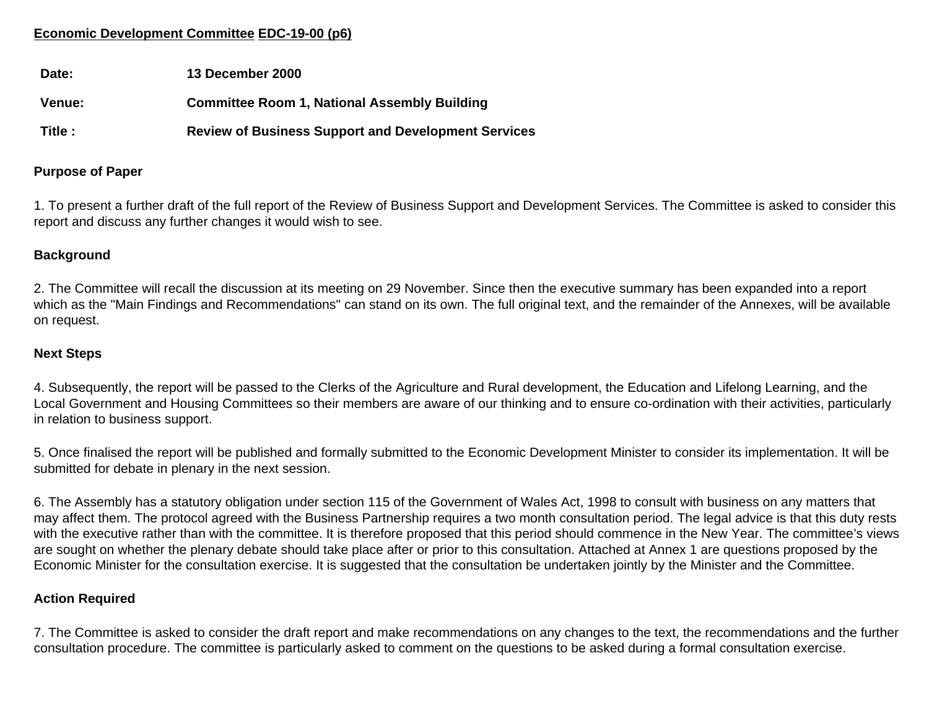# **Economic Development Committee EDC-19-00 (p6)**

| Date:         | 13 December 2000                                           |
|---------------|------------------------------------------------------------|
| <b>Venue:</b> | <b>Committee Room 1, National Assembly Building</b>        |
| Title :       | <b>Review of Business Support and Development Services</b> |

#### **Purpose of Paper**

1. To present a further draft of the full report of the Review of Business Support and Development Services. The Committee is asked to consider this report and discuss any further changes it would wish to see.

## **Background**

2. The Committee will recall the discussion at its meeting on 29 November. Since then the executive summary has been expanded into a report which as the "Main Findings and Recommendations" can stand on its own. The full original text, and the remainder of the Annexes, will be available on request.

#### **Next Steps**

4. Subsequently, the report will be passed to the Clerks of the Agriculture and Rural development, the Education and Lifelong Learning, and the Local Government and Housing Committees so their members are aware of our thinking and to ensure co-ordination with their activities, particularly in relation to business support.

5. Once finalised the report will be published and formally submitted to the Economic Development Minister to consider its implementation. It will be submitted for debate in plenary in the next session.

6. The Assembly has a statutory obligation under section 115 of the Government of Wales Act, 1998 to consult with business on any matters that may affect them. The protocol agreed with the Business Partnership requires a two month consultation period. The legal advice is that this duty rests with the executive rather than with the committee. It is therefore proposed that this period should commence in the New Year. The committee's views are sought on whether the plenary debate should take place after or prior to this consultation. Attached at Annex 1 are questions proposed by the Economic Minister for the consultation exercise. It is suggested that the consultation be undertaken jointly by the Minister and the Committee.

## **Action Required**

7. The Committee is asked to consider the draft report and make recommendations on any changes to the text, the recommendations and the further consultation procedure. The committee is particularly asked to comment on the questions to be asked during a formal consultation exercise.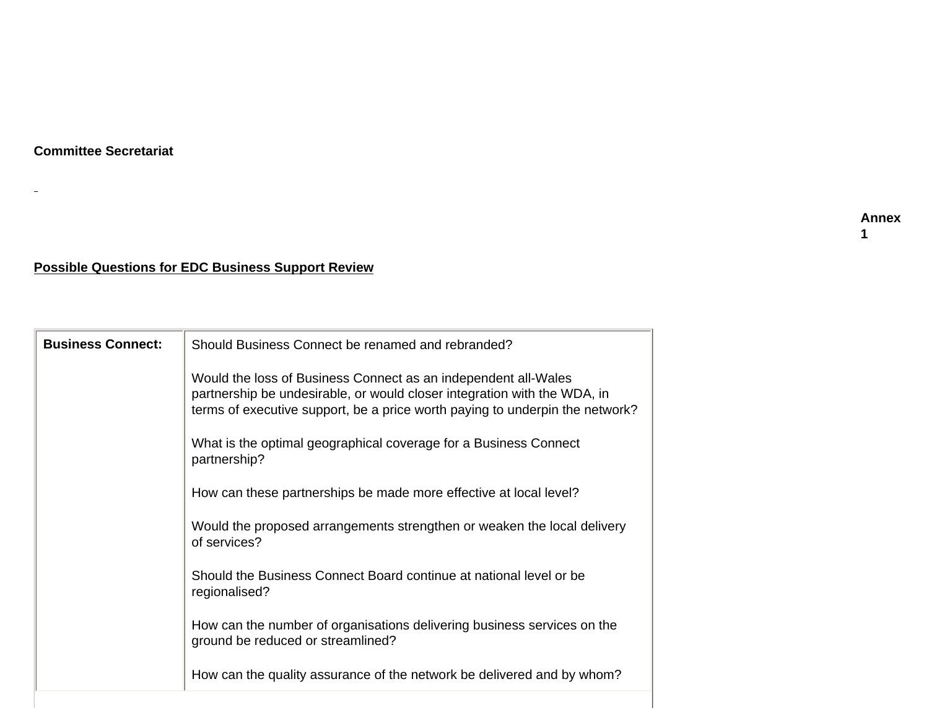$\equiv$ 

# **Possible Questions for EDC Business Support Review**

| <b>Business Connect:</b> | Should Business Connect be renamed and rebranded?                                                                                                                                                                          |
|--------------------------|----------------------------------------------------------------------------------------------------------------------------------------------------------------------------------------------------------------------------|
|                          | Would the loss of Business Connect as an independent all-Wales<br>partnership be undesirable, or would closer integration with the WDA, in<br>terms of executive support, be a price worth paying to underpin the network? |
|                          | What is the optimal geographical coverage for a Business Connect<br>partnership?                                                                                                                                           |
|                          | How can these partnerships be made more effective at local level?                                                                                                                                                          |
|                          | Would the proposed arrangements strengthen or weaken the local delivery<br>of services?                                                                                                                                    |
|                          | Should the Business Connect Board continue at national level or be<br>regionalised?                                                                                                                                        |
|                          | How can the number of organisations delivering business services on the<br>ground be reduced or streamlined?                                                                                                               |
|                          | How can the quality assurance of the network be delivered and by whom?                                                                                                                                                     |